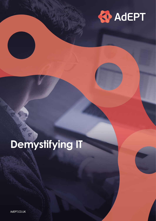

# **Demystifying IT**

AdEPT.CO.UK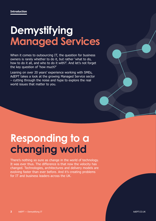### **Demystifying Managed Services**

When it comes to outsourcing IT, the question for business owners is rarely whether to do it, but rather 'what to do, how to do it all, and who to do it with?'. And let's not forget the key question of 'how much?'

Leaning on over 20 years' experience working with SMEs, AdEPT takes a look at the growing Managed Service sector – cutting through the noise and hype to explore the real world issues that matter to you.

### **Responding to a changing world**

There's nothing so sure as change in the world of technology. It was ever thus. The difference is that now the velocity has changed. Technologies, architectures and delivery models are evolving faster than ever before. And it's creating problems for IT and business leaders across the UK.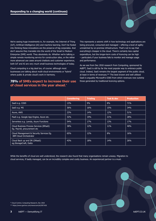We're seeing huge investments in, for example, the Internet of Thing (IoT), Artificial Intelligence (AI) and machine learning. Don't be fooled into thinking these innovations are the preserve of big corporates. And don't assume they translate into the world of the Small to Medium Enterprise (SME) world. They absolutely do. Whether we're talking a simple remote monitoring service for construction sites, or the rather more advanced use cases around chatbots and customer experience, both IoT and AI are very much small business technologies of today.

Cloud computing is a big deal too, of course: although most businesses are talking about multi-cloud environments or 'hybrid' where public & private cloud's work in harmony.

#### **78% of SMEs expect to increase their use of cloud services in the year ahead.\***

This represents a seismic shift in how technology and applications are being procured, consumed and managed – offering a level of agility unmatched by on-premise infrastructure. That's not to say that everything's cheaper in the cloud. There's certainly less capital expenditure, but the longer-term costs of licencing can be high – particularly if your business fails to monitor and manage usage and performance.

As we see from Dec 2018 research from Computing, sponsored by AdEPT, SaaS is still by far the most popular way to embrace public cloud. Indeed, SaaS remains the largest segment of the public cloud, at least in terms of revenues.\*\* The best known and well utilised SaaS is arguably Microsoft's O365 from which revenues now outstrip those generated by traditional licencing options.

|                                                                           | <b>Considering</b> | <b>Trialing</b> | <b>Test &amp; dev</b> | <b>Production</b> |
|---------------------------------------------------------------------------|--------------------|-----------------|-----------------------|-------------------|
| SaaS e.g. 0365                                                            | 13%                | 9%              | 8%                    | 71%               |
| TaaS e.g. MS                                                              | 36%                | 16%             | 15%                   | 34%               |
| Azure, AWS                                                                | 23%                | 14%             | 12%                   | 51%               |
| PaaS e.g. Google App Engine, Azure etc.                                   | 32%                | 19%             | 21%                   | 28%               |
| Serverless e.g. Lamda, Azure Functions                                    | 54%                | 17%             | 13%                   | 17%               |
| Cloud Business Process Services (BPaaS)<br>Eg. Payroll, procurement etc   | 38%                | 12%             | 11%                   | 40%               |
| Cloud Management & Security Services Eg.<br><b>IBM Cloud Orchestrator</b> | 65%                | 12%             | 8%                    | 16%               |
| Cloud Back up and DR (DRaaS)<br>eg.StorageCraft, Datto                    | 43%                | 18%             | 14%                   | 26%               |

While the benefits of cloud are well understood, the research also found that many organisations remain uneasy. Migration to cloud services, if badly managed, can be an incredibly complex and costly business. An experienced partner is a must.

\*\* https://www.gartner.com/newsroom/id/3871416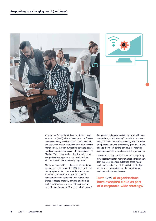



As we move further into this world of everything as a service (XaaS), virtual desktops and softwaredefined networks, a host of operational requirements and challenges appear: everything from mobile device management, through burgeoning software estates and licence optimization issues, to the explosion of Shadow IT as users download their favourite personal and professional apps onto their work devices. All of which can create a security nightmare.

Finally, we have all the business issues that impact technology – data protection (GDPR), compliance, demographic shifts in the workplace and so on. Whether by accident or design, these wider considerations are combining with today's tech trends to create intensely complex and hard to control environments, and constituencies of ever more demanding users. IT needs a bit of support!

For smaller businesses, particularly those with larger competitors, simply staying 'up-to-date' can mean being left behind. And with technology now a massive and powerful enabler of efficiency, productivity and change, being left behind can have far-reaching consequences that extend across the organisation.

The key to staying current is continually exploring new opportunities for improvement and trialling new tech to assess business outcomes. Once you're certain of positive impact, it needs to be deployed as part of an integrated and planned strategy, with user adoption at the core.

**Just 32% of organisations have executed cloud as part of a corporate-wide strategy.\***

\* Cloud Control, Computing Research, Dec 2018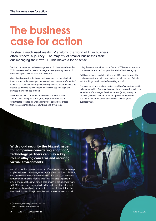### **The business case for action**

To steal a much used reality TV analogy, the world of IT in business often reflects 'a journey'. The majority of smaller businesses start out managing their own IT. This makes a lot of sense.

Inevitably though, as the business grows, so do the demands on the IT function – there's a need to manage an ever-growing volume of networks, apps, devices, data and users, etc.

Over time keeping the lights on swallows more and more budget. Resource and skills issues put the planned 'workplace transformation' initiative on hold. Our once agile technology environment has become bloated as workers download (and businesses pay for) apps and services they don't use or need.

After a while this complex world becomes the 'new normal'. That is, until some part of the (now) legacy network has a catastrophic collapse, or until a competitor opens new offices that threatens market share. You'd respond if you could –

doing the same in their territory. But your IT is now a constraint not an enabler – it can't support that kind of business agility.

In this negative scenario it's fairly straightforward to prove the business case for bringing in a partner to help you out. But why wait for things to fall over before taking action?

For many small and medium businesses, there's a positive upside to being proactive. Not least because, by leveraging the skills and experience of a Managed Services Partner (MSP), money can be saved, business can be protected, processes improved, and more 'visible' initiatives delivered to drive tangible business value.

**With cloud security the biggest issue for companies considering adoption\*, technology partners can play a key role in allaying concerns and securing virtual environments.**

And it's a risk that deserves attention. It's estimated that, on average, a cyber incidence costs an organisation \$369,000\*\* with loss of critical data, intellectual property and source files that can cost a company its reputation, let alone financial loss. Research also suggests that 27.9% of organisations will have a data breach in the next two years, with 61% reporting a cyber-attack in the past year. The risk is likely, and potentially significant. In any risk assessment High Risk x High  $Likelihood = High Priority! Pro-active maintenance reduces this risk.$ 

\* Cloud Control, Computing Research, Dec 2018 \*\* Hiscox Cyber Readiness Report 2019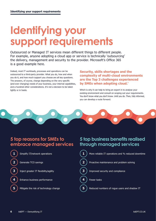### **Identifying your support requirements**

Outsourced or Managed IT services mean different things to different people. For example, anyone adopting a cloud app or service is technically 'outsourcing' the delivery, management and security to the provider. Microsoft's Office 365 is a good example here.

Indeed, most IT workloads, processes and operations can be outsourced to a third-party provider. What you do, how and when you do it, and how much support you choose are all key questions. The answers, of course, change depending on the very specific (and ever changing) needs of your business, your internal capabilities, and a hundred other considerations. It's not a decision to be taken lightly or in haste.

**Security, skills shortages and the complexity of multi-cloud environments are the Top 3 challenges experienced by SMEs when adopting cloud.\***

Which is why it can help to bring an expert in to analyse your existing environment and consult on scoping out your requirements. You don't know what you don't know. Until you do. Then, fully informed, you can develop a route forward.

#### **5 top reasons for SMEs to embrace managed services**

**1** Simplify IT/network operations

**2** Generate TCO savings

**3** Inject greater IT flexibility/agility

**4** Enhance business performance

**5** Mitigate the risk of technology change

### **5 top business benefits realised through managed services**

  $\blacksquare$  More reliable IT operations and % reduced downtime Proactive maintenance and problem solving Improved security and compliance Fewer tasks Reduced numbers of rogue users and shadow IT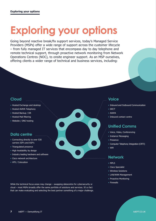## **Exploring your options**

Going beyond reactive break/fix support services, today's Managed Service Providers (MSPs) offer a wide range of support across the customer lifecycle – from fully managed IT services that encompass day to day telephone and remote technical support, through proactive network monitoring from Network Operations Centres (NOC), to onsite engineer support. As an MSP ourselves, offering clients a wider range of technical and business services, including:

#### **Cloud**

- Hosted Exchange and desktop
- Hosted AVAYA Telephony
- Hosted Backup / DR
- Hosted Mail filtering
- Website / DNS hosting

#### **Data centre**

- Connecting directly to over 530 carriers ISP's and ASP's
- Triangulated presence
- High Availability by design
- Industry leading hardware and software
- Cisco network architecture
- VPS / Colocation

While the technical focus areas may change – swapping datacentre for cybersecurity or cloud – most MSPs broadly offer the same portfolio of solutions and services. It's a fact that can make evaluating and selecting the best partner something of a major challenge.

#### **Voice**

- Inbound and Outbound Communication
- DECT
- AVAYA
- Inbound contact centre

#### **Unified Comms**

- Voice, Video, Conferencing
- Instance Messaging
- Presence
- Computer Telephony Integration (CRTI)
- Wifi

#### **Network**

- MPLS
- Cisco Specialist
- Wireless Solutions
- LAN/WAN Management
- Proactive Monitoring
- Firewalls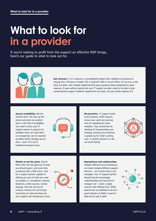### **What to look for in a provider**

If you're looking to profit from the support an effective MSP brings, here's our guide to what to look out for.



Get covered. IT is in essence a commoditised market with a plethora of products to choose from: Windows or Apple? iOS or Android? AWS or Azure? Often, it's not one or the other but both, with multiple additional third-party solutions being integrated for good measure. It goes without saying that your IT support provider needs to be able to give comprehensive support whatever deployment you have, not just certain aspects of it.

**Assure availability.** Not the network kind. The 'pick up the phone and solve my problem when I call' kind of availability. You need to know your IT support partner is going to be available when you need them so emergencies can be resolved promptly before damage can be done - even if it's out of traditional business hours.



**Be proactive.** IT support needs to be proactive. MSPs need to ensure your users are learning and not repeating the same mistakes. They should also be advising on futureproofing and strategy, ensuring your business is geared up for what's coming next. A reactive partner is a risk not worth taking.



**Similar is not the same.** Not all MSPs offer the full spectrum of what you should expect, and some (like ourselves) offer a little more. Look for a support partner capable of offering as much of what you need as possible i.e., broadband, wireless, telephony, online security, remote backups. Not only will you be covered, chances are you'll enjoy economies of scale and lower per user support and maintenance costs.



#### **Reputations and relationships.**

Multiple different services/solutions can mean multiple different support partners – all of whom have to be managed. Your IT support partner should have the knowledge, understanding and resources to manage it all – under a single contract with defined SLAs. While awards and accreditations can be a good indicator of ability, it pays to take time to get it right!

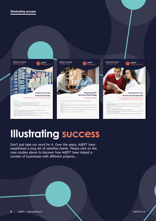

### **Illustrating success**

Don't just take our word for it. Over the years, AdEPT have established a long list of satisfied clients. Please click on the case studies above to discover how AdEPT have helped a number of businesses with different projects...